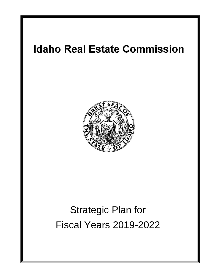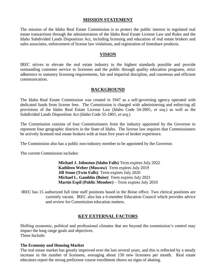## **MISSION STATEMENT**

The mission of the Idaho Real Estate Commission is to protect the public interest in regulated real estate transactions through the administration of the Idaho Real Estate License Law and Rules and the Idaho Subdivided Lands Disposition Act, including licensing and education of real estate brokers and sales associates, enforcement of license law violations, and registration of timeshare products.

## **VISION**

IREC strives to elevate the real estate industry to the highest standards possible and provide outstanding customer service to licensees and the public through quality education programs, strict adherence to statutory licensing requirements, fair and impartial discipline, and courteous and efficient communication.

## **BACKGROUND**

The Idaho Real Estate Commission was created in 1947 as a self-governing agency operated with dedicated funds from license fees. The Commission is charged with administering and enforcing all provisions of the Idaho Real Estate License Law (Idaho Code 54-2001, *et seq.*) as well as the Subdivided Lands Disposition Act (Idaho Code 55-1801, *et seq*.)

The Commission consists of four Commissioners from the industry appointed by the Governor to represent four geographic districts in the State of Idaho. The license law requires that Commissioners be actively licensed real estate brokers with at least five years of broker experience.

The Commission also has a public non-industry member to be appointed by the Governor.

The current Commission includes:

**Michael J. Johnston (Idaho Falls)** Term expires July 2022 **Kathleen Weber (Moscow)** Term expires July 2019 **Jill Stone (Twin Falls)** Term expires July 2020 **Michael L. Gamblin (Boise)** Term expires July 2021 **Martin Espil (Public Member) –** Term expires July 2010

IREC has 15 authorized full time staff positions based in the Boise office. Two clerical positions are currently vacant. IREC also has a 6-member Education Council which provides advice and review for Commission education matters.

# **KEY EXTERNAL FACTORS**

Shifting economic, political and professional climates that are beyond the commission's control may impact the long range goals and objectives. These Include:

#### **The Economy and Housing Market**

The real estate market has greatly improved over the last several years, and this is reflected by a steady increase in the number of licensees, averaging about 150 new licensees per month. Real estate educators report the strong prelicense course enrollment shows no signs of abating.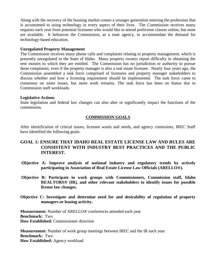Along with the recovery of the housing market comes a younger generation entering the profession that is accustomed to using technology in every aspect of their lives. The Commission receives many requests each year from potential licensees who would like to attend prelicense classes online, but none are available. It behooves the Commission, as a state agency, to accommodate the demand for technology-based education.

#### **Unregulated Property Management**

The Commission receives many phone calls and complaints relating to property management, which is presently unregulated in the State of Idaho. Many property owners report difficulty in obtaining the rent monies to which they are entitled. The Commission has no jurisdiction or authority to pursue these complaints, even if the property manager is also a real estate licensee. Nearly four years ago, the Commission assembled a task force comprised of licensees and property manager stakeholders to discuss whether and how a licensing requirement should be implemented. The task force came to consensus on some issues, but more work remains. The task force has been on hiatus due to Commission staff workloads.

#### **Legislative Actions**

State legislation and federal law changes can also alter or significantly impact the functions of the commission.

### **COMMISSION GOALS**

After identification of critical issues, licensee wants and needs, and agency constraints, IREC Staff have identified the following goals:

## **GOAL 1: ENSURE THAT IDAHO REAL ESTATE LICENSE LAW AND RULES ARE CONSISTENT WITH INDUSTRY BEST PRACTICES AND THE PUBLIC INTEREST.**

- **Objective A: Improve analysis of national industry and regulatory trends by actively participating in Association of Real Estate License Law Officials (ARELLO®).**
- **Objective B: Participate in work groups with Commissioners, Commission staff, Idaho REALTORS® (IR), and other relevant stakeholders to identify issues for possible license law changes.**
- **Objective C: Investigate and determine need for and desirability of regulation of property managers or leasing activity.**

**Measurement:** Number of ARELLO® conferences attended each year **Benchmark:** Two **How Established:** Commissioner direction

**Measurement:** Number of work group meetings between IREC and the IR each year **Benchmark:** Two **How Established:** Agency workload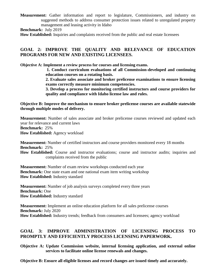**Measurement:** Gather information and report to legislature, Commissioners, and industry on suggested methods to address consumer protection issues related to unregulated property management and leasing activity in Idaho

**Benchmark:** July 2019

**How Established:** Inquiries and complaints received from the public and real estate licensees

# **GOAL 2: IMPROVE THE QUALITY AND RELEVANCE OF EDUCATION PROGRAMS FOR NEW AND EXISTING LICENSEES.**

**Objective A: Implement a review process for courses and licensing exams.** 

**1. Conduct curriculum evaluations of all Commission-developed and continuing education courses on a rotating basis.** 

**2. Evaluate sales associate and broker prelicense examinations to ensure licensing exams correctly measure minimum competencies.** 

**3. Develop a process for monitoring certified instructors and course providers for quality and compliance with Idaho license law and rules.** 

**Objective B: Improve the mechanism to ensure broker prelicense courses are available statewide through multiple modes of delivery.** 

**Measurement:** Number of sales associate and broker prelicense courses reviewed and updated each year for relevance and current laws **Benchmark:** 25% **How Established:** Agency workload

**Measurement:** Number of certified instructors and course providers monitored every 18 months **Benchmark:** 25%

**How Established:** Course and instructor evaluations; course and instructor audits; inquiries and complaints received from the public

**Measurement:** Number of exam review workshops conducted each year **Benchmark:** One state exam and one national exam item writing workshop **How Established:** Industry standard

**Measurement:** Number of job analysis surveys completed every three years **Benchmark:** One **How Established:** Industry standard

**Measurement:** Implement an online education platform for all sales prelicense courses **Benchmark:** July 2020 **How Established:** Industry trends; feedback from consumers and licensees; agency workload

# **GOAL 3: IMPROVE ADMINISTRATION OF LICENSING PROCESS TO PROMPTLY AND EFFICIENTLY PROCESS LICENSING PAPERWORK.**

**Objective A: Update Commission website, internal licensing application, and external online services to facilitate online license renewals and changes.** 

**Objective B: Ensure all eligible licenses and record changes are issued timely and accurately.**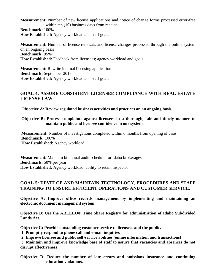**Measurement:** Number of new license applications and notice of change forms processed error-free within ten  $(10)$  business days from receipt **Benchmark:** 100% **How Established:** Agency workload and staff goals

**Measurement:** Number of license renewals and license changes processed through the online system on an ongoing basis **Benchmark:** 95% How Established: Feedback from licensees; agency workload and goals

**Measurement:** Rewrite internal licensing application **Benchmark:** September 2018 **How Established:** Agency workload and staff goals

# **GOAL 4: ASSURE CONSISTENT LICENSEE COMPLIANCE WITH REAL ESTATE LICENSE LAW.**

**Objective A: Review regulated business activities and practices on an ongoing basis.** 

### **Objective B: Process complaints against licensees in a thorough, fair and timely manner to maintain public and licensee confidence in our system.**

**Measurement:** Number of investigations completed within 6 months from opening of case **Benchmark:** 100% **How Established:** Agency workload

**Measurement:** Maintain bi-annual audit schedule for Idaho brokerages **Benchmark:** 50% per year **How Established:** Agency workload; ability to retain inspector

# **GOAL 5: DEVELOP AND MAINTAIN TECHNOLOGY, PROCEDURES AND STAFF TRAINING TO ENSURE EFFICIENT OPERATIONS AND CUSTOMER SERVICE.**

**Objective A: Improve office records management by implementing and maintaining an electronic document management system.** 

**Objective B: Use the ARELLO® Time Share Registry for administration of Idaho Subdivided Lands Act.** 

**Objective C: Provide outstanding customer service to licensees and the public.** 

- **1. Promptly respond to phone call and e-mail inquiries**
- **2. Improve licensee and public self-service abilities (online information and transactions)**

**3. Maintain and improve knowledge base of staff to assure that vacancies and absences do not disrupt effectiveness** 

**Objective D: Reduce the number of late errors and omissions insurance and continuing education violations.**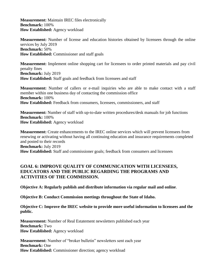**Measurement:** Maintain IREC files electronically **Benchmark:** 100% **How Established:** Agency workload

**Measurement:** Number of license and education histories obtained by licensees through the online services by July 2019 **Benchmark:** 50% **How Established:** Commissioner and staff goals

**Measurement:** Implement online shopping cart for licensees to order printed materials and pay civil penalty fines **Benchmark:** July 2019 **How Established:** Staff goals and feedback from licensees and staff

**Measurement:** Number of callers or e-mail inquiries who are able to make contact with a staff member within one business day of contacting the commission office **Benchmark:** 100% **How Established:** Feedback from consumers, licensees, commissioners, and staff

**Measurement:** Number of staff with up-to-date written procedures/desk manuals for job functions **Benchmark:** 100% **How Established:** Agency workload

**Measurement:** Create enhancements to the IREC online services which will prevent licensees from renewing or activating without having all continuing education and insurance requirements completed and posted to their records **Benchmark:** July 2019 **How Established:** Staff and commissioner goals; feedback from consumers and licensees

# **GOAL 6: IMPROVE QUALITY OF COMMUNICATION WITH LICENSEES, EDUCATORS AND THE PUBLIC REGARDING THE PROGRAMS AND ACTIVITIES OF THE COMMISSION.**

**Objective A: Regularly publish and distribute information via regular mail and online**.

**Objective B: Conduct Commission meetings throughout the State of Idaho.** 

**Objective C: Improve the IREC website to provide more useful information to licensees and the public.** 

**Measurement:** Number of Real Estatement newsletters published each year **Benchmark:** Two **How Established:** Agency workload

**Measurement:** Number of "broker bulletin" newsletters sent each year **Benchmark:** One **How Established:** Commissioner direction; agency workload